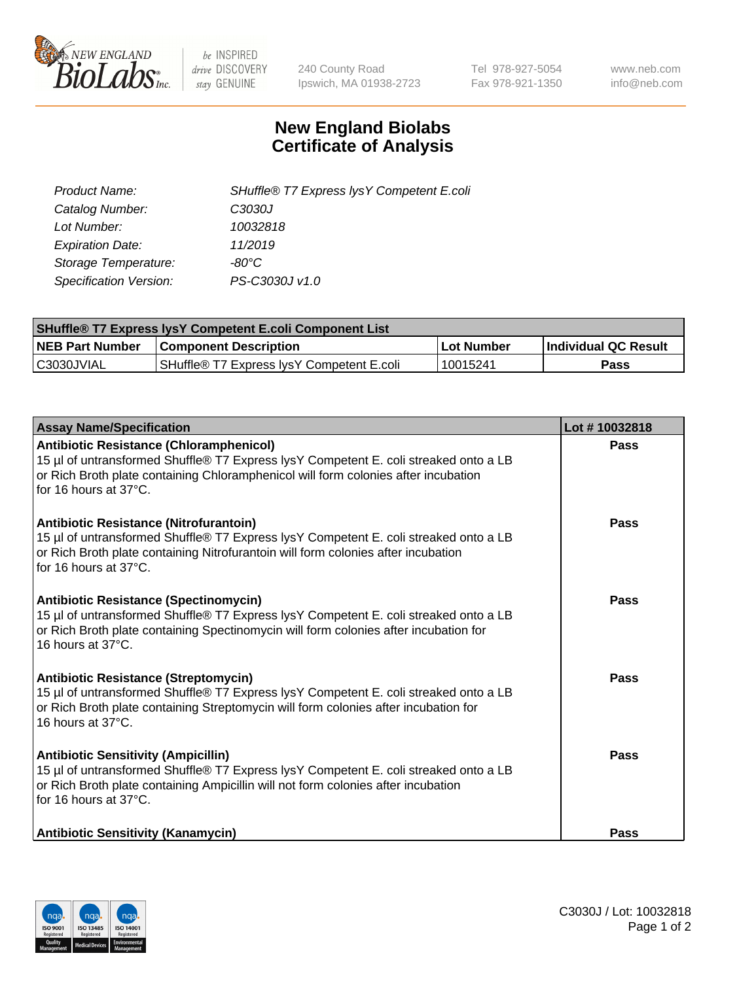

 $be$  INSPIRED drive DISCOVERY stay GENUINE

240 County Road Ipswich, MA 01938-2723 Tel 978-927-5054 Fax 978-921-1350 www.neb.com info@neb.com

## **New England Biolabs Certificate of Analysis**

| SHuffle® T7 Express lysY Competent E.coli |
|-------------------------------------------|
| C3030J                                    |
| 10032818                                  |
| 11/2019                                   |
| -80°C                                     |
| PS-C3030J v1.0                            |
|                                           |

| <b>SHuffle® T7 Express lysY Competent E.coli Component List</b> |                                           |                   |                             |  |
|-----------------------------------------------------------------|-------------------------------------------|-------------------|-----------------------------|--|
| <b>NEB Part Number</b>                                          | <b>Component Description</b>              | <b>Lot Number</b> | <b>Individual QC Result</b> |  |
| C3030JVIAL                                                      | SHuffle® T7 Express IysY Competent E.coli | 10015241          | Pass                        |  |

| <b>Assay Name/Specification</b>                                                                                                                                                                                                                       | Lot #10032818 |
|-------------------------------------------------------------------------------------------------------------------------------------------------------------------------------------------------------------------------------------------------------|---------------|
| <b>Antibiotic Resistance (Chloramphenicol)</b><br>15 µl of untransformed Shuffle® T7 Express lysY Competent E. coli streaked onto a LB<br>or Rich Broth plate containing Chloramphenicol will form colonies after incubation<br>for 16 hours at 37°C. | Pass          |
| Antibiotic Resistance (Nitrofurantoin)<br>15 µl of untransformed Shuffle® T7 Express lysY Competent E. coli streaked onto a LB<br>or Rich Broth plate containing Nitrofurantoin will form colonies after incubation<br>for 16 hours at 37°C.          | Pass          |
| <b>Antibiotic Resistance (Spectinomycin)</b><br>15 µl of untransformed Shuffle® T7 Express lysY Competent E. coli streaked onto a LB<br>or Rich Broth plate containing Spectinomycin will form colonies after incubation for<br>16 hours at 37°C.     | Pass          |
| Antibiotic Resistance (Streptomycin)<br>15 µl of untransformed Shuffle® T7 Express lysY Competent E. coli streaked onto a LB<br>or Rich Broth plate containing Streptomycin will form colonies after incubation for<br>16 hours at 37°C.              | <b>Pass</b>   |
| <b>Antibiotic Sensitivity (Ampicillin)</b><br>15 µl of untransformed Shuffle® T7 Express lysY Competent E. coli streaked onto a LB<br>or Rich Broth plate containing Ampicillin will not form colonies after incubation<br>for 16 hours at 37°C.      | Pass          |
| <b>Antibiotic Sensitivity (Kanamycin)</b>                                                                                                                                                                                                             | Pass          |